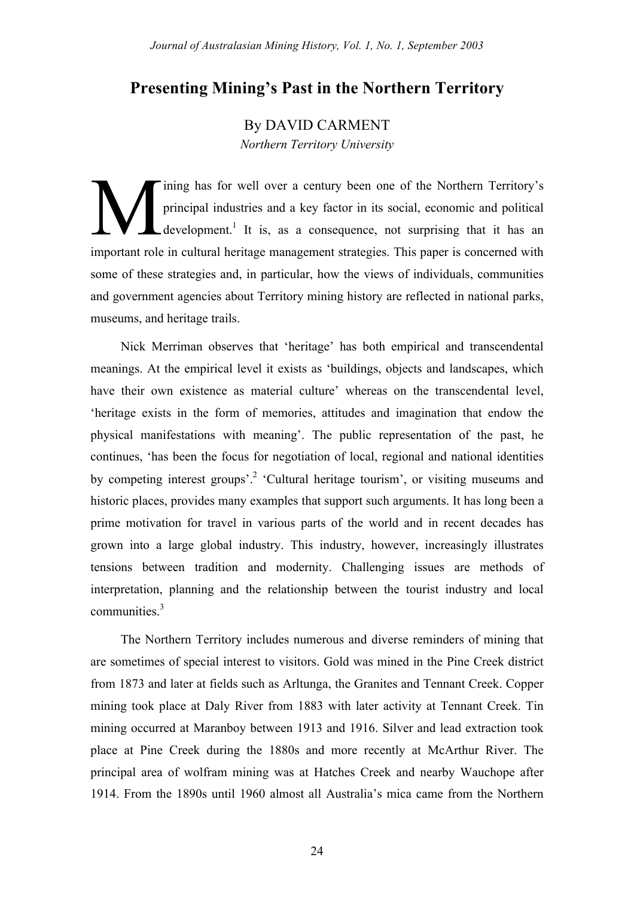# **Presenting Mining's Past in the Northern Territory**

By DAVID CARMENT *Northern Territory University*

ining has for well over a century been one of the Northern Territory's principal industries and a key factor in its social, economic and political  $\mathcal{L}$  development.<sup>1</sup> It is, as a consequence, not surprising that it has an important role in cultural heritage management strategies. This paper is concerned with some of these strategies and, in particular, how the views of individuals, communities and government agencies about Territory mining history are reflected in national parks, museums, and heritage trails. M

Nick Merriman observes that 'heritage' has both empirical and transcendental meanings. At the empirical level it exists as 'buildings, objects and landscapes, which have their own existence as material culture' whereas on the transcendental level, 'heritage exists in the form of memories, attitudes and imagination that endow the physical manifestations with meaning'. The public representation of the past, he continues, 'has been the focus for negotiation of local, regional and national identities by competing interest groups'.<sup>2</sup> 'Cultural heritage tourism', or visiting museums and historic places, provides many examples that support such arguments. It has long been a prime motivation for travel in various parts of the world and in recent decades has grown into a large global industry. This industry, however, increasingly illustrates tensions between tradition and modernity. Challenging issues are methods of interpretation, planning and the relationship between the tourist industry and local communities.<sup>3</sup>

The Northern Territory includes numerous and diverse reminders of mining that are sometimes of special interest to visitors. Gold was mined in the Pine Creek district from 1873 and later at fields such as Arltunga, the Granites and Tennant Creek. Copper mining took place at Daly River from 1883 with later activity at Tennant Creek. Tin mining occurred at Maranboy between 1913 and 1916. Silver and lead extraction took place at Pine Creek during the 1880s and more recently at McArthur River. The principal area of wolfram mining was at Hatches Creek and nearby Wauchope after 1914. From the 1890s until 1960 almost all Australia's mica came from the Northern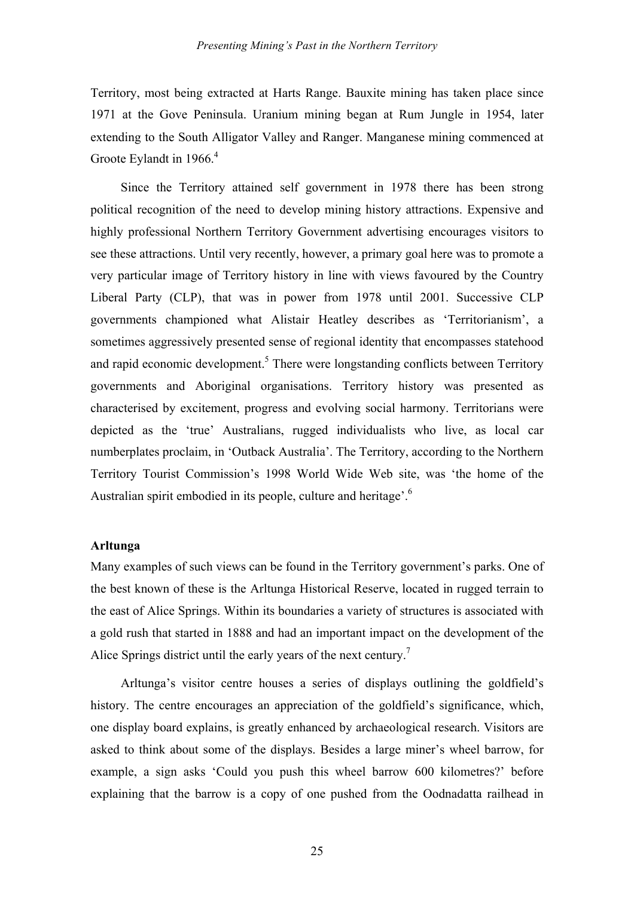Territory, most being extracted at Harts Range. Bauxite mining has taken place since 1971 at the Gove Peninsula. Uranium mining began at Rum Jungle in 1954, later extending to the South Alligator Valley and Ranger. Manganese mining commenced at Groote Eylandt in  $1966<sup>4</sup>$ 

Since the Territory attained self government in 1978 there has been strong political recognition of the need to develop mining history attractions. Expensive and highly professional Northern Territory Government advertising encourages visitors to see these attractions. Until very recently, however, a primary goal here was to promote a very particular image of Territory history in line with views favoured by the Country Liberal Party (CLP), that was in power from 1978 until 2001. Successive CLP governments championed what Alistair Heatley describes as 'Territorianism', a sometimes aggressively presented sense of regional identity that encompasses statehood and rapid economic development.<sup>5</sup> There were longstanding conflicts between Territory governments and Aboriginal organisations. Territory history was presented as characterised by excitement, progress and evolving social harmony. Territorians were depicted as the 'true' Australians, rugged individualists who live, as local car numberplates proclaim, in 'Outback Australia'. The Territory, according to the Northern Territory Tourist Commission's 1998 World Wide Web site, was 'the home of the Australian spirit embodied in its people, culture and heritage'.<sup>6</sup>

### **Arltunga**

Many examples of such views can be found in the Territory government's parks. One of the best known of these is the Arltunga Historical Reserve, located in rugged terrain to the east of Alice Springs. Within its boundaries a variety of structures is associated with a gold rush that started in 1888 and had an important impact on the development of the Alice Springs district until the early years of the next century.<sup>7</sup>

Arltunga's visitor centre houses a series of displays outlining the goldfield's history. The centre encourages an appreciation of the goldfield's significance, which, one display board explains, is greatly enhanced by archaeological research. Visitors are asked to think about some of the displays. Besides a large miner's wheel barrow, for example, a sign asks 'Could you push this wheel barrow 600 kilometres?' before explaining that the barrow is a copy of one pushed from the Oodnadatta railhead in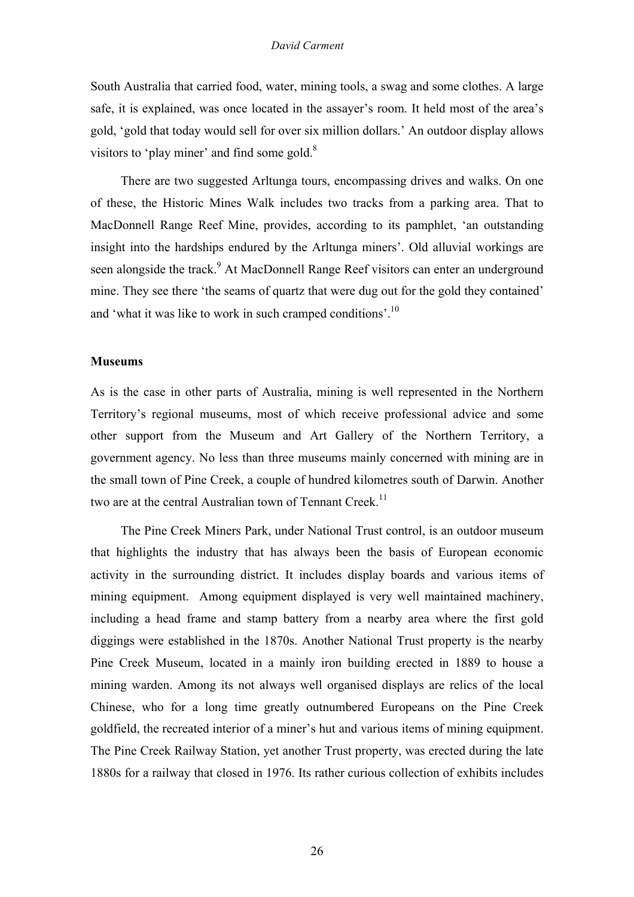South Australia that carried food, water, mining tools, a swag and some clothes. A large safe, it is explained, was once located in the assayer's room. It held most of the area's gold, 'gold that today would sell for over six million dollars.' An outdoor display allows visitors to 'play miner' and find some gold. $8$ 

There are two suggested Arltunga tours, encompassing drives and walks. On one of these, the Historic Mines Walk includes two tracks from a parking area. That to MacDonnell Range Reef Mine, provides, according to its pamphlet, 'an outstanding insight into the hardships endured by the Arltunga miners'. Old alluvial workings are seen alongside the track.<sup>9</sup> At MacDonnell Range Reef visitors can enter an underground mine. They see there 'the seams of quartz that were dug out for the gold they contained' and 'what it was like to work in such cramped conditions'.<sup>10</sup>

### **Museums**

As is the case in other parts of Australia, mining is well represented in the Northern Territory's regional museums, most of which receive professional advice and some other support from the Museum and Art Gallery of the Northern Territory, a government agency. No less than three museums mainly concerned with mining are in the small town of Pine Creek, a couple of hundred kilometres south of Darwin. Another two are at the central Australian town of Tennant Creek.<sup>11</sup>

The Pine Creek Miners Park, under National Trust control, is an outdoor museum that highlights the industry that has always been the basis of European economic activity in the surrounding district. It includes display boards and various items of mining equipment. Among equipment displayed is very well maintained machinery, including a head frame and stamp battery from a nearby area where the first gold diggings were established in the 1870s. Another National Trust property is the nearby Pine Creek Museum, located in a mainly iron building erected in 1889 to house a mining warden. Among its not always well organised displays are relics of the local Chinese, who for a long time greatly outnumbered Europeans on the Pine Creek goldfield, the recreated interior of a miner's hut and various items of mining equipment. The Pine Creek Railway Station, yet another Trust property, was erected during the late 1880s for a railway that closed in 1976. Its rather curious collection of exhibits includes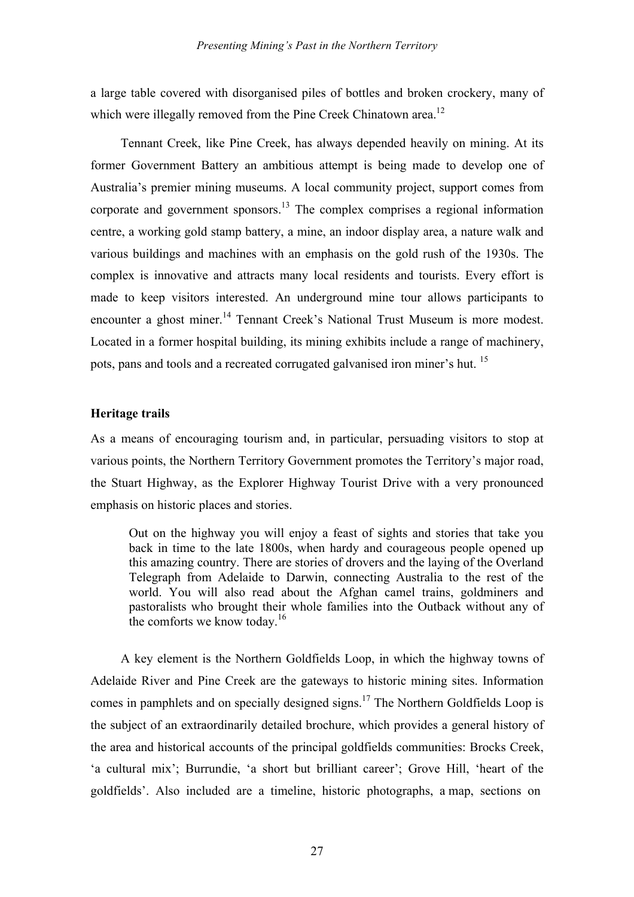a large table covered with disorganised piles of bottles and broken crockery, many of which were illegally removed from the Pine Creek Chinatown area.<sup>12</sup>

Tennant Creek, like Pine Creek, has always depended heavily on mining. At its former Government Battery an ambitious attempt is being made to develop one of Australia's premier mining museums. A local community project, support comes from corporate and government sponsors.<sup>13</sup> The complex comprises a regional information centre, a working gold stamp battery, a mine, an indoor display area, a nature walk and various buildings and machines with an emphasis on the gold rush of the 1930s. The complex is innovative and attracts many local residents and tourists. Every effort is made to keep visitors interested. An underground mine tour allows participants to encounter a ghost miner.<sup>14</sup> Tennant Creek's National Trust Museum is more modest. Located in a former hospital building, its mining exhibits include a range of machinery, pots, pans and tools and a recreated corrugated galvanised iron miner's hut. <sup>15</sup>

# **Heritage trails**

As a means of encouraging tourism and, in particular, persuading visitors to stop at various points, the Northern Territory Government promotes the Territory's major road, the Stuart Highway, as the Explorer Highway Tourist Drive with a very pronounced emphasis on historic places and stories.

Out on the highway you will enjoy a feast of sights and stories that take you back in time to the late 1800s, when hardy and courageous people opened up this amazing country. There are stories of drovers and the laying of the Overland Telegraph from Adelaide to Darwin, connecting Australia to the rest of the world. You will also read about the Afghan camel trains, goldminers and pastoralists who brought their whole families into the Outback without any of the comforts we know today.<sup>16</sup>

A key element is the Northern Goldfields Loop, in which the highway towns of Adelaide River and Pine Creek are the gateways to historic mining sites. Information comes in pamphlets and on specially designed signs.17 The Northern Goldfields Loop is the subject of an extraordinarily detailed brochure, which provides a general history of the area and historical accounts of the principal goldfields communities: Brocks Creek, 'a cultural mix'; Burrundie, 'a short but brilliant career'; Grove Hill, 'heart of the goldfields'. Also included are a timeline, historic photographs, a map, sections on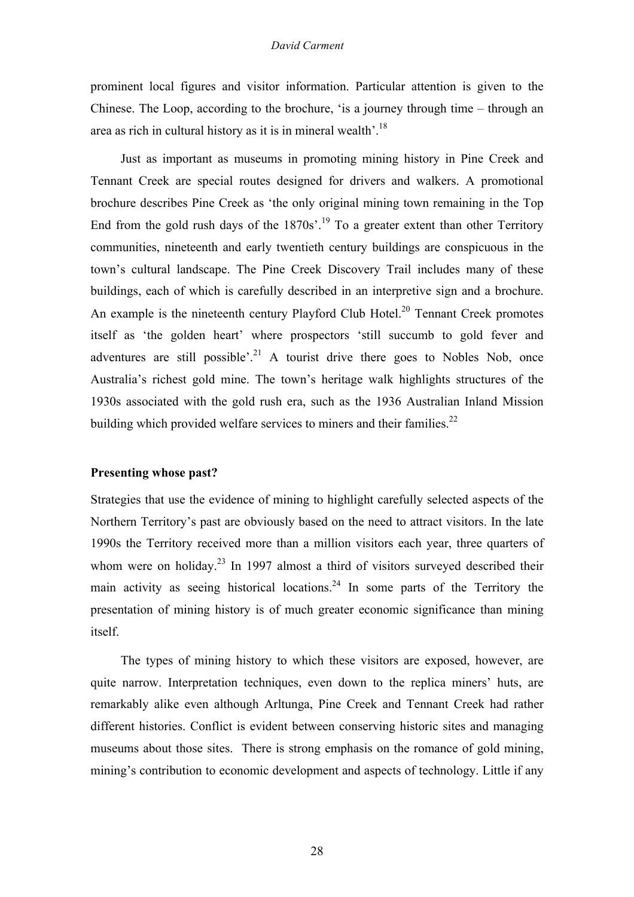#### *David Carment*

prominent local figures and visitor information. Particular attention is given to the Chinese. The Loop, according to the brochure, 'is a journey through time – through an area as rich in cultural history as it is in mineral wealth'.18

Just as important as museums in promoting mining history in Pine Creek and Tennant Creek are special routes designed for drivers and walkers. A promotional brochure describes Pine Creek as 'the only original mining town remaining in the Top End from the gold rush days of the  $1870s^{19}$  To a greater extent than other Territory communities, nineteenth and early twentieth century buildings are conspicuous in the town's cultural landscape. The Pine Creek Discovery Trail includes many of these buildings, each of which is carefully described in an interpretive sign and a brochure. An example is the nineteenth century Playford Club Hotel.<sup>20</sup> Tennant Creek promotes itself as 'the golden heart' where prospectors 'still succumb to gold fever and adventures are still possible'.<sup>21</sup> A tourist drive there goes to Nobles Nob, once Australia's richest gold mine. The town's heritage walk highlights structures of the 1930s associated with the gold rush era, such as the 1936 Australian Inland Mission building which provided welfare services to miners and their families.<sup>22</sup>

## **Presenting whose past?**

Strategies that use the evidence of mining to highlight carefully selected aspects of the Northern Territory's past are obviously based on the need to attract visitors. In the late 1990s the Territory received more than a million visitors each year, three quarters of whom were on holiday.<sup>23</sup> In 1997 almost a third of visitors surveyed described their main activity as seeing historical locations.<sup>24</sup> In some parts of the Territory the presentation of mining history is of much greater economic significance than mining itself.

The types of mining history to which these visitors are exposed, however, are quite narrow. Interpretation techniques, even down to the replica miners' huts, are remarkably alike even although Arltunga, Pine Creek and Tennant Creek had rather different histories. Conflict is evident between conserving historic sites and managing museums about those sites. There is strong emphasis on the romance of gold mining, mining's contribution to economic development and aspects of technology. Little if any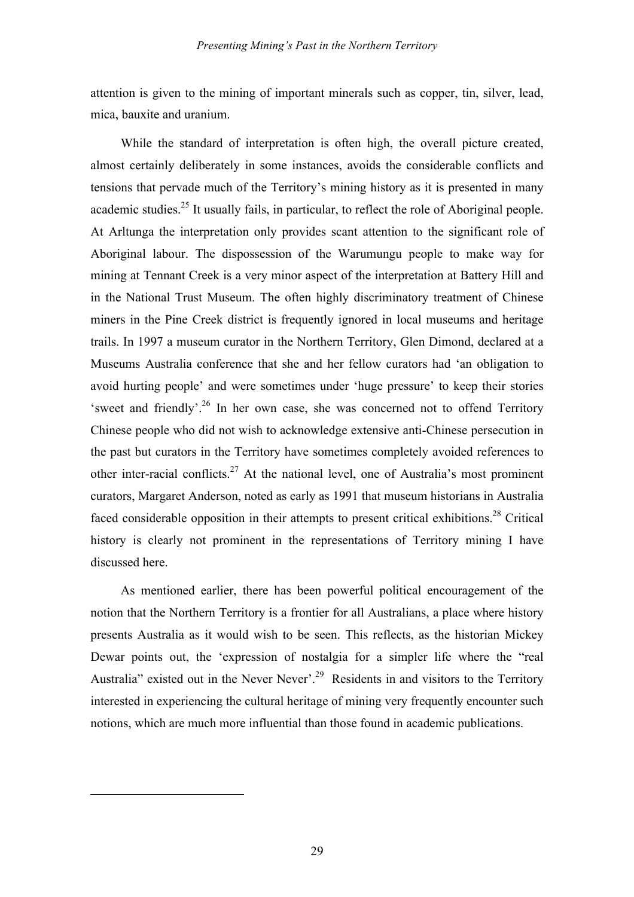attention is given to the mining of important minerals such as copper, tin, silver, lead, mica, bauxite and uranium.

While the standard of interpretation is often high, the overall picture created, almost certainly deliberately in some instances, avoids the considerable conflicts and tensions that pervade much of the Territory's mining history as it is presented in many academic studies.<sup>25</sup> It usually fails, in particular, to reflect the role of Aboriginal people. At Arltunga the interpretation only provides scant attention to the significant role of Aboriginal labour. The dispossession of the Warumungu people to make way for mining at Tennant Creek is a very minor aspect of the interpretation at Battery Hill and in the National Trust Museum. The often highly discriminatory treatment of Chinese miners in the Pine Creek district is frequently ignored in local museums and heritage trails. In 1997 a museum curator in the Northern Territory, Glen Dimond, declared at a Museums Australia conference that she and her fellow curators had 'an obligation to avoid hurting people' and were sometimes under 'huge pressure' to keep their stories 'sweet and friendly'.<sup>26</sup> In her own case, she was concerned not to offend Territory Chinese people who did not wish to acknowledge extensive anti-Chinese persecution in the past but curators in the Territory have sometimes completely avoided references to other inter-racial conflicts.<sup>27</sup> At the national level, one of Australia's most prominent curators, Margaret Anderson, noted as early as 1991 that museum historians in Australia faced considerable opposition in their attempts to present critical exhibitions.<sup>28</sup> Critical history is clearly not prominent in the representations of Territory mining I have discussed here.

As mentioned earlier, there has been powerful political encouragement of the notion that the Northern Territory is a frontier for all Australians, a place where history presents Australia as it would wish to be seen. This reflects, as the historian Mickey Dewar points out, the 'expression of nostalgia for a simpler life where the "real Australia" existed out in the Never Never'.<sup>29</sup> Residents in and visitors to the Territory interested in experiencing the cultural heritage of mining very frequently encounter such notions, which are much more influential than those found in academic publications.

 $\overline{a}$